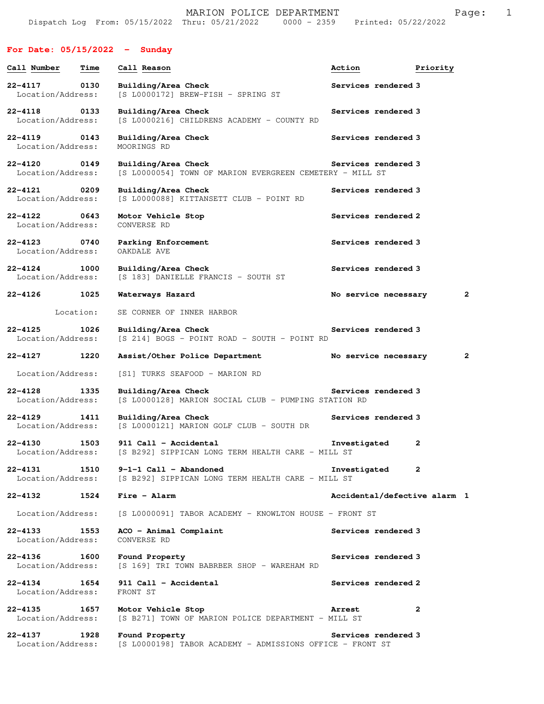# **For Date: 05/15/2022 - Sunday**

| Call Number                       | Time      | Call Reason                                                                     | Action                       | Priority     |
|-----------------------------------|-----------|---------------------------------------------------------------------------------|------------------------------|--------------|
| 22-4117<br>Location/Address:      | 0130      | Building/Area Check<br>[S L0000172] BREW-FISH - SPRING ST                       | Services rendered 3          |              |
| $22 - 4118$<br>Location/Address:  | 0133      | Building/Area Check<br>[S L0000216] CHILDRENS ACADEMY - COUNTY RD               | Services rendered 3          |              |
| 22-4119<br>Location/Address:      | 0143      | Building/Area Check<br>MOORINGS RD                                              | Services rendered 3          |              |
| 22-4120 0149<br>Location/Address: |           | Building/Area Check<br>[S L0000054] TOWN OF MARION EVERGREEN CEMETERY - MILL ST | Services rendered 3          |              |
| 22-4121<br>Location/Address:      | 0209      | Building/Area Check<br>[S L0000088] KITTANSETT CLUB - POINT RD                  | Services rendered 3          |              |
| 22-4122 0643<br>Location/Address: |           | Motor Vehicle Stop<br>CONVERSE RD                                               | Services rendered 2          |              |
| 22-4123<br>Location/Address:      | 0740      | Parking Enforcement<br>OAKDALE AVE                                              | Services rendered 3          |              |
| $22 - 4124$<br>Location/Address:  | 1000      | Building/Area Check<br>[S 183] DANIELLE FRANCIS - SOUTH ST                      | Services rendered 3          |              |
| 22-4126                           | 1025      | Waterways Hazard                                                                | No service necessary         | 2            |
|                                   | Location: | SE CORNER OF INNER HARBOR                                                       |                              |              |
| $22 - 4125$<br>Location/Address:  | 1026      | Building/Area Check<br>[S 214] BOGS - POINT ROAD - SOUTH - POINT RD             | Services rendered 3          |              |
| $22 - 4127$                       | 1220      | Assist/Other Police Department                                                  | No service necessary         | 2            |
| Location/Address:                 |           | [S1] TURKS SEAFOOD - MARION RD                                                  |                              |              |
| 22-4128<br>Location/Address:      | 1335      | Building/Area Check<br>[S L0000128] MARION SOCIAL CLUB - PUMPING STATION RD     | Services rendered 3          |              |
| $22 - 4129$<br>Location/Address:  | 1411      | Building/Area Check<br>[S L0000121] MARION GOLF CLUB - SOUTH DR                 | Services rendered 3          |              |
| $22 - 4130$<br>Location/Address:  | 1503      | 911 Call - Accidental<br>[S B292] SIPPICAN LONG TERM HEALTH CARE - MILL ST      | Investigated                 | 2            |
| $22 - 4131$<br>Location/Address:  | 1510      | $9-1-1$ Call - Abandoned<br>[S B292] SIPPICAN LONG TERM HEALTH CARE - MILL ST   | Investigated                 | 2            |
| $22 - 4132$                       | 1524      | Fire - Alarm                                                                    | Accidental/defective alarm 1 |              |
| Location/Address:                 |           | [S L0000091] TABOR ACADEMY - KNOWLTON HOUSE - FRONT ST                          |                              |              |
| $22 - 4133$<br>Location/Address:  | 1553      | ACO - Animal Complaint<br>CONVERSE RD                                           | Services rendered 3          |              |
| 22-4136<br>Location/Address:      | 1600      | Found Property<br>[S 169] TRI TOWN BABRBER SHOP - WAREHAM RD                    | Services rendered 3          |              |
| $22 - 4134$<br>Location/Address:  | 1654      | 911 Call - Accidental<br>FRONT ST                                               | Services rendered 2          |              |
| $22 - 4135$<br>Location/Address:  | 1657      | Motor Vehicle Stop<br>[S B271] TOWN OF MARION POLICE DEPARTMENT - MILL ST       | <b>Arrest</b>                | $\mathbf{2}$ |
| 22-4137<br>Location/Address:      | 1928      | Found Property<br>[S L0000198] TABOR ACADEMY - ADMISSIONS OFFICE - FRONT ST     | Services rendered 3          |              |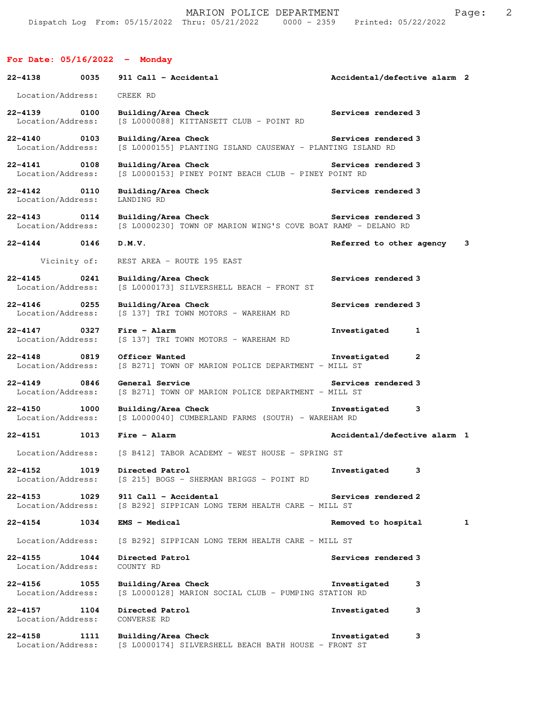### **For Date: 05/16/2022 - Monday**

| 22-4138                           | 0035         | 911 Call - Accidental                                                                                 | Accidental/defective alarm 2            |   |
|-----------------------------------|--------------|-------------------------------------------------------------------------------------------------------|-----------------------------------------|---|
| Location/Address:                 |              | CREEK RD                                                                                              |                                         |   |
| 22-4139 0100<br>Location/Address: |              | Building/Area Check<br>[S L0000088] KITTANSETT CLUB - POINT RD                                        | Services rendered 3                     |   |
| 22-4140 0103<br>Location/Address: |              | Building/Area Check Services rendered 3<br>[S L0000155] PLANTING ISLAND CAUSEWAY - PLANTING ISLAND RD |                                         |   |
| 22-4141<br>Location/Address:      | 0108         | Building/Area Check<br>[S L0000153] PINEY POINT BEACH CLUB - PINEY POINT RD                           | Services rendered 3                     |   |
| 22-4142 0110<br>Location/Address: |              | Building/Area Check<br>LANDING RD                                                                     | Services rendered 3                     |   |
| $22 - 4143$<br>Location/Address:  | 0114         | Building/Area Check<br>[S L0000230] TOWN OF MARION WING'S COVE BOAT RAMP - DELANO RD                  | Services rendered 3                     |   |
| $22 - 4144$ 0146                  |              | D.M.V.                                                                                                | Referred to other agency 3              |   |
|                                   | Vicinity of: | REST AREA - ROUTE 195 EAST                                                                            |                                         |   |
| $22 - 4145$<br>Location/Address:  | 0241         | Building/Area Check<br>[S L0000173] SILVERSHELL BEACH - FRONT ST                                      | Services rendered 3                     |   |
| $22 - 4146$<br>Location/Address:  | 0255         | Building/Area Check<br>[S 137] TRI TOWN MOTORS - WAREHAM RD                                           | Services rendered 3                     |   |
| 22-4147 0327<br>Location/Address: |              | Fire - Alarm<br>[S 137] TRI TOWN MOTORS - WAREHAM RD                                                  | Investigated<br>1                       |   |
| $22 - 4148$<br>Location/Address:  | 0819         | Officer Wanted<br>[S B271] TOWN OF MARION POLICE DEPARTMENT - MILL ST                                 | Investigated<br>$\mathbf{2}$            |   |
| $22 - 4149$<br>Location/Address:  | 0846         | General Service<br>[S B271] TOWN OF MARION POLICE DEPARTMENT - MILL ST                                | Services rendered 3                     |   |
| $22 - 4150$<br>Location/Address:  | 1000         | Building/Area Check<br>[S L0000040] CUMBERLAND FARMS (SOUTH) - WAREHAM RD                             | Investigated<br>3                       |   |
| $22 - 4151$                       | 1013         | $Fire - Alarm$                                                                                        | Accidental/defective alarm 1            |   |
|                                   |              | Location/Address: [S B412] TABOR ACADEMY - WEST HOUSE - SPRING ST                                     |                                         |   |
| Location/Address:                 |              | 22-4152 1019 Directed Patrol<br>[S 215] BOGS - SHERMAN BRIGGS - POINT RD                              | Investigated<br>$\overline{\mathbf{3}}$ |   |
| $22 - 4153$<br>Location/Address:  | 1029         | 911 Call - Accidental<br>[S B292] SIPPICAN LONG TERM HEALTH CARE - MILL ST                            | Services rendered 2                     |   |
| 22-4154                           | 1034         | <b>EMS - Medical</b>                                                                                  | Removed to hospital                     | 1 |
| Location/Address:                 |              | [S B292] SIPPICAN LONG TERM HEALTH CARE - MILL ST                                                     |                                         |   |
| $22 - 4155$<br>Location/Address:  | 1044         | Directed Patrol<br>COUNTY RD                                                                          | Services rendered 3                     |   |
| $22 - 4156$<br>Location/Address:  | 1055         | Building/Area Check<br>[S L0000128] MARION SOCIAL CLUB - PUMPING STATION RD                           | Investigated<br>3                       |   |
| $22 - 4157$<br>Location/Address:  | 1104         | Directed Patrol<br>CONVERSE RD                                                                        | Investigated<br>3                       |   |
| $22 - 4158$<br>Location/Address:  | 1111         | Building/Area Check<br>[S L0000174] SILVERSHELL BEACH BATH HOUSE - FRONT ST                           | Investigated<br>3                       |   |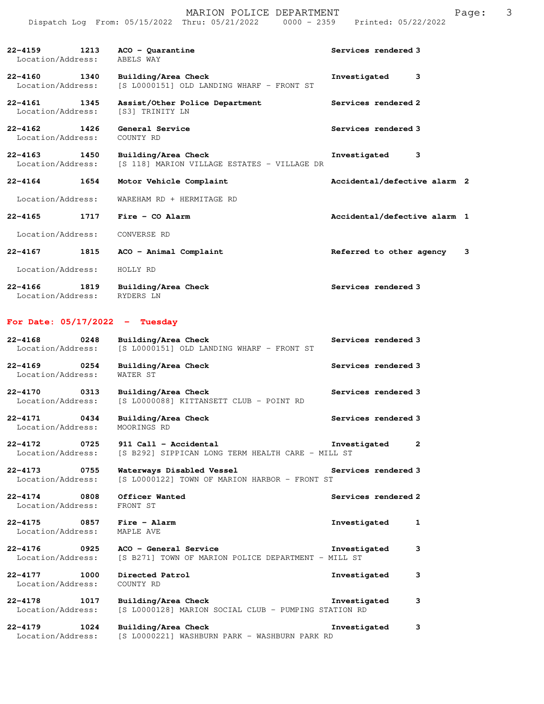|                                      |      | MARION POLICE DEPARTMENT<br>Dispatch Log From: 05/15/2022 Thru: 05/21/2022 0000 - 2359 Printed: 05/22/2022 | 3<br>Page:                    |
|--------------------------------------|------|------------------------------------------------------------------------------------------------------------|-------------------------------|
| Location/Address:                    |      | 22-4159 1213 ACO - Quarantine<br>ABELS WAY                                                                 | Services rendered 3           |
| 22-4160 1340<br>Location/Address:    |      | Building/Area Check<br>[S L0000151] OLD LANDING WHARF - FRONT ST                                           | Investigated<br>3             |
| 22-4161 1345<br>Location/Address:    |      | Assist/Other Police Department<br>[S3] TRINITY LN                                                          | Services rendered 2           |
| 22-4162<br>1426<br>Location/Address: |      | General Service<br>COUNTY RD                                                                               | Services rendered 3           |
| 22-4163 1450<br>Location/Address:    |      | Building/Area Check<br>[S 118] MARION VILLAGE ESTATES - VILLAGE DR                                         | Investigated<br>3             |
| 22-4164 1654                         |      | Motor Vehicle Complaint                                                                                    | Accidental/defective alarm 2  |
| Location/Address:                    |      | WAREHAM RD + HERMITAGE RD                                                                                  |                               |
| 22-4165                              | 1717 | Fire - CO Alarm                                                                                            | Accidental/defective alarm 1  |
| Location/Address:                    |      | CONVERSE RD                                                                                                |                               |
| 22-4167<br>1815                      |      | ACO - Animal Complaint                                                                                     | Referred to other agency<br>3 |
| Location/Address:                    |      | HOLLY RD                                                                                                   |                               |

22-4166 1819 Building/Area Check **1819 Services rendered 3** Location/Address: RYDERS LN

# **For Date: 05/17/2022 - Tuesday**

| $22 - 4168$<br>0248<br>Location/Address:        | Building/Area Check<br>[S L0000151] OLD LANDING WHARF - FRONT ST             | Services rendered 3          |
|-------------------------------------------------|------------------------------------------------------------------------------|------------------------------|
| 22-4169 0254<br>Location/Address:               | Building/Area Check<br>WATER ST                                              | Services rendered 3          |
| 22-4170 0313<br>Location/Address:               | Building/Area Check<br>[S L0000088] KITTANSETT CLUB - POINT RD               | Services rendered 3          |
| 22-4171 0434<br>Location/Address:               | Building/Area Check<br>MOORINGS RD                                           | Services rendered 3          |
| 22-4172 0725<br>Location/Address:               | 911 Call - Accidental<br>[S B292] SIPPICAN LONG TERM HEALTH CARE - MILL ST   | Investigated 2               |
| 22-4173 0755<br>Location/Address:               | Waterways Disabled Vessel<br>[S L0000122] TOWN OF MARION HARBOR - FRONT ST   | Services rendered 3          |
|                                                 |                                                                              |                              |
| 22-4174 0808<br>Location/Address:               | Officer Wanted<br>FRONT ST                                                   | Services rendered 2          |
| 22-4175 0857<br>Location/Address:               | $Fire - Alarm$<br>MAPLE AVE                                                  | Investigated<br>$\mathbf{1}$ |
| $22 - 4176$<br>$\sim$ 0925<br>Location/Address: | ACO - General Service<br>[S B271] TOWN OF MARION POLICE DEPARTMENT - MILL ST | Investigated<br>3            |
| 22-4177 1000<br>Location/Address:               | Directed Patrol<br>COUNTY RD                                                 | Investigated<br>3            |
| $22 - 4178$<br>1017<br>Location/Address:        | Building/Area Check<br>[S L0000128] MARION SOCIAL CLUB - PUMPING STATION RD  | Investigated<br>3            |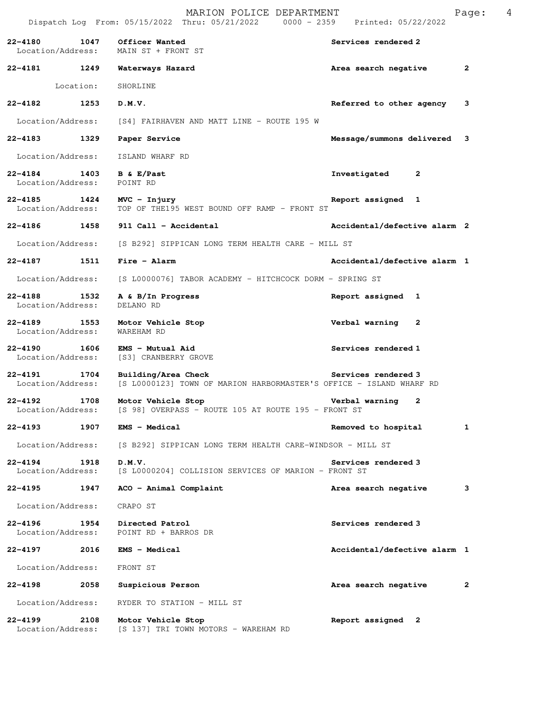|                                   |                   | MARION POLICE DEPARTMENT<br>Dispatch Log From: 05/15/2022 Thru: 05/21/2022 0000 - 2359 Printed: 05/22/2022 |                              | Page: | 4 |
|-----------------------------------|-------------------|------------------------------------------------------------------------------------------------------------|------------------------------|-------|---|
| 22-4180 1047                      | Location/Address: | Officer Wanted<br>MAIN ST + FRONT ST                                                                       | Services rendered 2          |       |   |
|                                   |                   | 22-4181 1249 Waterways Hazard                                                                              | Area search negative         | 2     |   |
|                                   | Location:         | SHORLINE                                                                                                   |                              |       |   |
| 22-4182                           | 1253              | D.M.V.                                                                                                     | Referred to other agency     | 3     |   |
| Location/Address:                 |                   | [S4] FAIRHAVEN AND MATT LINE - ROUTE 195 W                                                                 |                              |       |   |
| 22–4183 1329                      |                   | Paper Service                                                                                              | Message/summons delivered 3  |       |   |
| Location/Address:                 |                   | ISLAND WHARF RD                                                                                            |                              |       |   |
| Location/Address:                 |                   | 22-4184 1403 B & E/Past<br>POINT RD                                                                        | Investigated<br>$\mathbf{2}$ |       |   |
| Location/Address:                 |                   | 22-4185 1424 MVC - Injury<br>TOP OF THE195 WEST BOUND OFF RAMP - FRONT ST                                  | Report assigned 1            |       |   |
|                                   |                   | 22-4186 1458 911 Call - Accidental                                                                         | Accidental/defective alarm 2 |       |   |
| Location/Address:                 |                   | [S B292] SIPPICAN LONG TERM HEALTH CARE - MILL ST                                                          |                              |       |   |
| 22-4187 1511                      |                   | Fire - Alarm                                                                                               | Accidental/defective alarm 1 |       |   |
| Location/Address:                 |                   | [S L0000076] TABOR ACADEMY - HITCHCOCK DORM - SPRING ST                                                    |                              |       |   |
| 22-4188 1532<br>Location/Address: |                   | A & B/In Progress<br>DELANO RD                                                                             | Report assigned 1            |       |   |
| 22-4189<br>Location/Address:      |                   | 1553 Motor Vehicle Stop<br>WAREHAM RD                                                                      | Verbal warning 2             |       |   |
| 22-4190 1606<br>Location/Address: |                   | EMS - Mutual Aid<br>[S3] CRANBERRY GROVE                                                                   | Services rendered 1          |       |   |
| 22-4191<br>Location/Address:      | 1704              | Building/Area Check<br>[S L0000123] TOWN OF MARION HARBORMASTER'S OFFICE - ISLAND WHARF RD                 | Services rendered 3          |       |   |
| 22-4192<br>Location/Address:      | 1708              | Motor Vehicle Stop<br>[S 98] OVERPASS - ROUTE 105 AT ROUTE 195 - FRONT ST                                  | Verbal warning<br>2          |       |   |
| 22-4193                           | 1907              | EMS - Medical                                                                                              | Removed to hospital          | 1     |   |
| Location/Address:                 |                   | [S B292] SIPPICAN LONG TERM HEALTH CARE-WINDSOR - MILL ST                                                  |                              |       |   |
| 22-4194<br>Location/Address:      | 1918              | D.M.V.<br>[S L0000204] COLLISION SERVICES OF MARION - FRONT ST                                             | Services rendered 3          |       |   |
| 22-4195                           | 1947              | ACO - Animal Complaint                                                                                     | Area search negative         | 3     |   |
| Location/Address:                 |                   | CRAPO ST                                                                                                   |                              |       |   |
| 22-4196<br>Location/Address:      | 1954              | Directed Patrol<br>POINT RD + BARROS DR                                                                    | Services rendered 3          |       |   |
| 22-4197                           | 2016              | <b>EMS - Medical</b>                                                                                       | Accidental/defective alarm 1 |       |   |
| Location/Address:                 |                   | FRONT ST                                                                                                   |                              |       |   |
| 22-4198                           | 2058              | Suspicious Person                                                                                          | Area search negative         | 2     |   |
| Location/Address:                 |                   | RYDER TO STATION - MILL ST                                                                                 |                              |       |   |
| 22-4199<br>Location/Address:      | 2108              | Motor Vehicle Stop<br>[S 137] TRI TOWN MOTORS - WAREHAM RD                                                 | Report assigned 2            |       |   |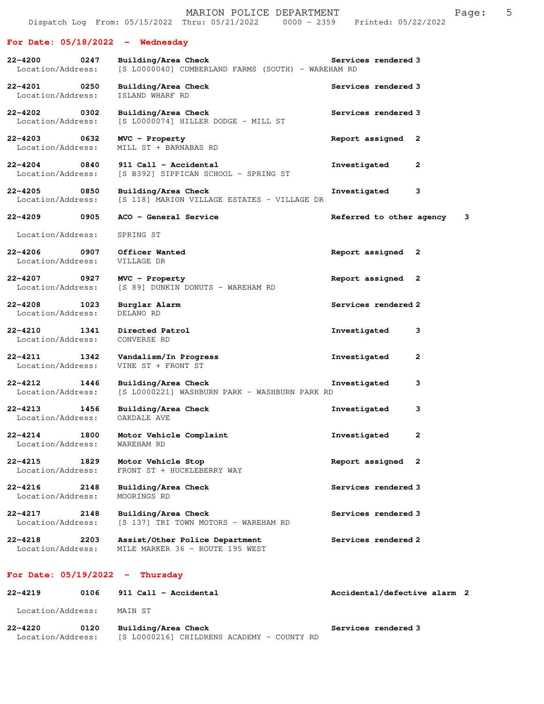#### **For Date: 05/18/2022 - Wednesday**

**22-4200 0247 Building/Area Check Services rendered 3**  Location/Address: [S L0000040] CUMBERLAND FARMS (SOUTH) - WAREHAM RD **22-4201 0250 Building/Area Check Services rendered 3**  Location/Address: ISLAND WHARF RD **22-4202 0302 Building/Area Check Services rendered 3**  Location/Address: [S L0000074] HILLER DODGE - MILL ST **22-4203 0632 MVC - Property Report assigned 2**  Location/Address: MILL ST + BARNABAS RD **22-4204 0840 911 Call - Accidental Investigated 2**  Location/Address: [S B392] SIPPICAN SCHOOL - SPRING ST **22-4205 0850 Building/Area Check Investigated 3**  [S 118] MARION VILLAGE ESTATES - VILLAGE DR **22-4209 0905 ACO - General Service Referred to other agency 3** Location/Address: SPRING ST **22-4206 0907 Officer Wanted Report assigned 2**  Location/Address: VILLAGE DR **22-4207 0927 MVC - Property Report assigned 2**  Location/Address: [S 89] DUNKIN DONUTS - WAREHAM RD **22-4208 1023 Burglar Alarm Services rendered 2 Incation/Address:** DELANO RD Location/Address: **22-4210 1341 Directed Patrol Investigated 3**  Location/Address: CONVERSE RD **22-4211 1342 Vandalism/In Progress Investigated 2**  Location/Address: VINE ST + FRONT ST **22-4212 1446 Building/Area Check Investigated 3**  Location/Address: [S L0000221] WASHBURN PARK - WASHBURN PARK RD **22-4213 1456 Building/Area Check Investigated 3**  Location/Address: OAKDALE AVE **22-4214 1800 Motor Vehicle Complaint Investigated 2**  Location/Address: **22-4215 1829 Motor Vehicle Stop Report assigned 2**  Location/Address: FRONT ST + HUCKLEBERRY WAY **22-4216 2148 Building/Area Check Services rendered 3**  Location/Address: MOORINGS RD **22-4217 2148 Building/Area Check Services rendered 3**  Location/Address: [S 137] TRI TOWN MOTORS - WAREHAM RD **22-4218 2203 Assist/Other Police Department Services rendered 2** 

Location/Address: MILE MARKER 36 - ROUTE 195 WEST

#### **For Date: 05/19/2022 - Thursday**

| $22 - 4219$       | 0106 | 911 Call - Accidental                      | Accidental/defective alarm 2 |  |
|-------------------|------|--------------------------------------------|------------------------------|--|
| Location/Address: |      | MAIN ST                                    |                              |  |
| $22 - 4220$       | 0120 | Building/Area Check                        | Services rendered 3          |  |
| Location/Address: |      | [S L0000216] CHILDRENS ACADEMY - COUNTY RD |                              |  |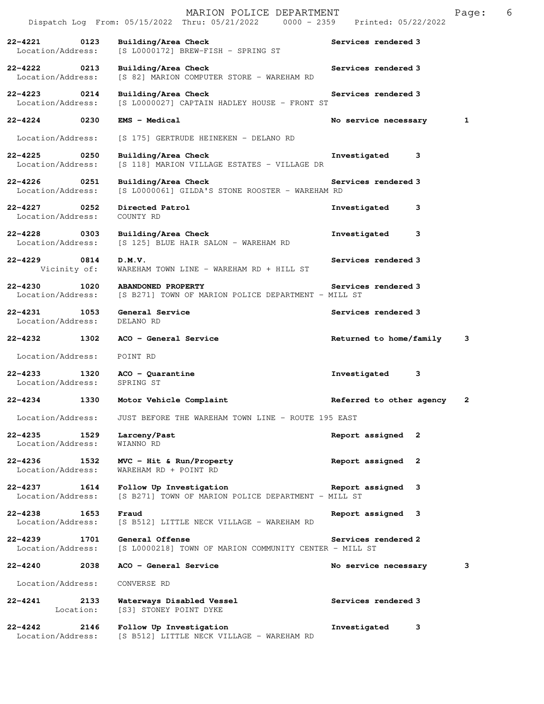|                                          |                   | MARION POLICE DEPARTMENT<br>Dispatch Log From: 05/15/2022 Thru: 05/21/2022 0000 - 2359 Printed: 05/22/2022 |                          |   | Page: | 6 |
|------------------------------------------|-------------------|------------------------------------------------------------------------------------------------------------|--------------------------|---|-------|---|
| 22-4221<br>Location/Address:             | 0123              | Building/Area Check<br>[S L0000172] BREW-FISH - SPRING ST                                                  | Services rendered 3      |   |       |   |
| 22-4222<br>Location/Address:             | 0213              | Building/Area Check<br>[S 82] MARION COMPUTER STORE - WAREHAM RD                                           | Services rendered 3      |   |       |   |
| 22-4223 0214<br>Location/Address:        |                   | Building/Area Check<br>[S L0000027] CAPTAIN HADLEY HOUSE - FRONT ST                                        | Services rendered 3      |   |       |   |
| $22 - 4224$ 0230                         |                   | <b>EMS - Medical</b>                                                                                       | No service necessary     |   | 1     |   |
| Location/Address:                        |                   | [S 175] GERTRUDE HEINEKEN - DELANO RD                                                                      |                          |   |       |   |
| $22 - 4225$<br>Location/Address:         | 0250              | Building/Area Check<br>[S 118] MARION VILLAGE ESTATES - VILLAGE DR                                         | Investigated             | 3 |       |   |
| 22-4226 0251<br>Location/Address:        |                   | Building/Area Check<br>[S L0000061] GILDA'S STONE ROOSTER - WAREHAM RD                                     | Services rendered 3      |   |       |   |
| $22 - 4227$<br>Location/Address:         | 0252              | Directed Patrol<br>COUNTY RD                                                                               | Investigated             | 3 |       |   |
| 22-4228 0303<br>Location/Address:        |                   | Building/Area Check<br>[S 125] BLUE HAIR SALON - WAREHAM RD                                                | Investigated             | 3 |       |   |
| $22 - 4229$<br>0814<br>Vicinity of:      |                   | D.M.V.<br>WAREHAM TOWN LINE - WAREHAM RD + HILL ST                                                         | Services rendered 3      |   |       |   |
| $22 - 4230$<br>Location/Address:         | 1020              | <b>ABANDONED PROPERTY</b><br>[S B271] TOWN OF MARION POLICE DEPARTMENT - MILL ST                           | Services rendered 3      |   |       |   |
| $22 - 4231$<br>1053<br>Location/Address: |                   | General Service<br>DELANO RD                                                                               | Services rendered 3      |   |       |   |
| 22-4232                                  | 1302              | ACO - General Service                                                                                      | Returned to home/family  |   | 3     |   |
| Location/Address:                        |                   | POINT RD                                                                                                   |                          |   |       |   |
| $22 - 4233$<br>Location/Address:         | 1320              | $ACO - Quarantine$<br>SPRING ST                                                                            | Investigated             | 3 |       |   |
| 22-4234                                  | 1330              | Motor Vehicle Complaint                                                                                    | Referred to other agency |   | 2     |   |
| Location/Address:                        |                   | JUST BEFORE THE WAREHAM TOWN LINE - ROUTE 195 EAST                                                         |                          |   |       |   |
| $22 - 4235$<br>Location/Address:         | 1529              | Larceny/Past<br>WIANNO RD                                                                                  | Report assigned 2        |   |       |   |
| $22 - 4236$<br>Location/Address:         | 1532              | $MVC$ - Hit & $Run/Property$<br>WAREHAM RD + POINT RD                                                      | Report assigned 2        |   |       |   |
| 22-4237<br>Location/Address:             | 1614              | Follow Up Investigation<br>[S B271] TOWN OF MARION POLICE DEPARTMENT - MILL ST                             | Report assigned 3        |   |       |   |
| $22 - 4238$<br>Location/Address:         | 1653              | Fraud<br>[S B512] LITTLE NECK VILLAGE - WAREHAM RD                                                         | Report assigned 3        |   |       |   |
| $22 - 4239$<br>Location/Address:         | 1701              | General Offense<br>[S L0000218] TOWN OF MARION COMMUNITY CENTER - MILL ST                                  | Services rendered 2      |   |       |   |
| 22-4240                                  | 2038              | ACO - General Service                                                                                      | No service necessary     |   | з     |   |
| Location/Address:                        |                   | CONVERSE RD                                                                                                |                          |   |       |   |
| 22-4241                                  | 2133<br>Location: | Waterways Disabled Vessel<br>[S3] STONEY POINT DYKE                                                        | Services rendered 3      |   |       |   |
| $22 - 4242$<br>Location/Address:         | 2146              | Follow Up Investigation<br>[S B512] LITTLE NECK VILLAGE - WAREHAM RD                                       | Investigated             | 3 |       |   |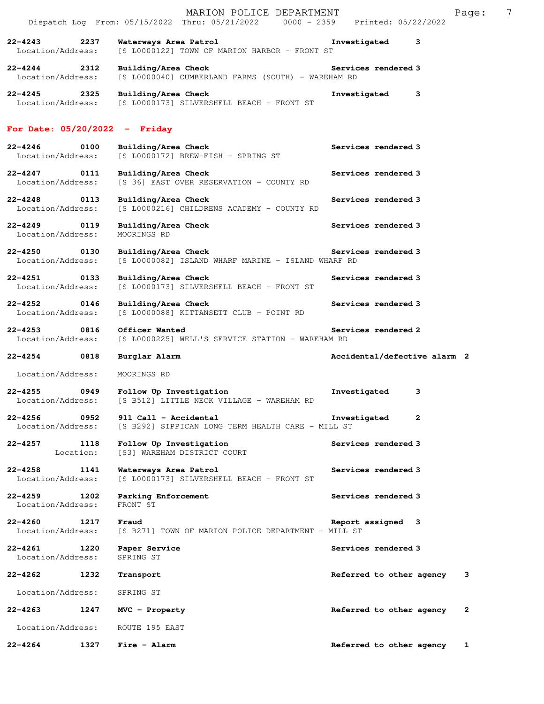|                                          |      | MARION POLICE DEPARTMENT<br>Dispatch Log From: 05/15/2022 Thru: 05/21/2022 0000 - 2359 Printed: 05/22/2022 |                              | 7<br>Page:   |
|------------------------------------------|------|------------------------------------------------------------------------------------------------------------|------------------------------|--------------|
| $22 - 4243$<br>Location/Address:         | 2237 | Waterways Area Patrol<br>[S L0000122] TOWN OF MARION HARBOR - FRONT ST                                     | Investigated<br>3            |              |
| $22 - 4244$<br>Location/Address:         | 2312 | Building/Area Check<br>[S L0000040] CUMBERLAND FARMS (SOUTH) - WAREHAM RD                                  | Services rendered 3          |              |
| 22-4245 2325<br>Location/Address:        |      | Building/Area Check<br>[S L0000173] SILVERSHELL BEACH - FRONT ST                                           | Investigated<br>3            |              |
| For Date: $05/20/2022 -$ Friday          |      |                                                                                                            |                              |              |
| $22 - 4246$<br>Location/Address:         | 0100 | Building/Area Check<br>[S L0000172] BREW-FISH - SPRING ST                                                  | Services rendered 3          |              |
| 22-4247 0111<br>Location/Address:        |      | Building/Area Check<br>[S 36] EAST OVER RESERVATION - COUNTY RD                                            | Services rendered 3          |              |
| 22-4248 0113<br>Location/Address:        |      | Building/Area Check<br>[S L0000216] CHILDRENS ACADEMY - COUNTY RD                                          | Services rendered 3          |              |
| 22-4249 0119<br>Location/Address:        |      | Building/Area Check<br>MOORINGS RD                                                                         | Services rendered 3          |              |
| 22-4250 0130<br>Location/Address:        |      | Services rendered 3<br>Building/Area Check<br>[S L0000082] ISLAND WHARF MARINE - ISLAND WHARF RD           |                              |              |
| $22 - 4251$<br>0133<br>Location/Address: |      | Building/Area Check<br>[S L0000173] SILVERSHELL BEACH - FRONT ST                                           | Services rendered 3          |              |
| 22-4252<br>0146<br>Location/Address:     |      | Building/Area Check<br>[S L0000088] KITTANSETT CLUB - POINT RD                                             | Services rendered 3          |              |
| $22 - 4253$<br>0816<br>Location/Address: |      | Officer Wanted<br>[S L0000225] WELL'S SERVICE STATION - WAREHAM RD                                         | Services rendered 2          |              |
| $22 - 4254$                              | 0818 | Burglar Alarm                                                                                              | Accidental/defective alarm 2 |              |
| Location/Address:                        |      | MOORINGS RD                                                                                                |                              |              |
| 22-4255<br>Location/Address:             | 0949 | Follow Up Investigation<br>[S B512] LITTLE NECK VILLAGE - WAREHAM RD                                       | Investigated<br>3            |              |
| $22 - 4256$<br>Location/Address:         | 0952 | 911 Call - Accidental<br>[S B292] SIPPICAN LONG TERM HEALTH CARE - MILL ST                                 | Investigated<br>2            |              |
| $22 - 4257$<br>Location:                 | 1118 | Follow Up Investigation<br>[S3] WAREHAM DISTRICT COURT                                                     | Services rendered 3          |              |
| $22 - 4258$<br>Location/Address:         | 1141 | Waterways Area Patrol<br>[S L0000173] SILVERSHELL BEACH - FRONT ST                                         | Services rendered 3          |              |
| $22 - 4259$<br>Location/Address:         | 1202 | Parking Enforcement<br>FRONT ST                                                                            | Services rendered 3          |              |
| $22 - 4260$<br>Location/Address:         | 1217 | Fraud<br>[S B271] TOWN OF MARION POLICE DEPARTMENT - MILL ST                                               | Report assigned 3            |              |
| $22 - 4261$<br>Location/Address:         | 1220 | Paper Service<br>SPRING ST                                                                                 | Services rendered 3          |              |
| 22-4262                                  | 1232 | Transport                                                                                                  | Referred to other agency     | 3            |
| Location/Address:                        |      | SPRING ST                                                                                                  |                              |              |
| $22 - 4263$                              | 1247 | MVC - Property                                                                                             | Referred to other agency     | $\mathbf{2}$ |
| Location/Address:                        |      | ROUTE 195 EAST                                                                                             |                              |              |
| $22 - 4264$                              | 1327 | Fire - Alarm                                                                                               | Referred to other agency     | 1            |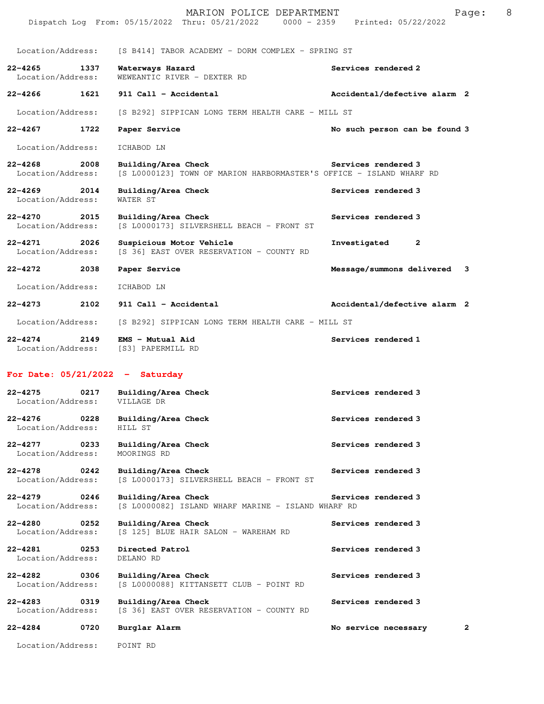|                                       |      | MARION POLICE DEPARTMENT<br>Dispatch Log From: 05/15/2022 Thru: 05/21/2022 0000 - 2359 Printed: 05/22/2022 | Page:                         | 8 |
|---------------------------------------|------|------------------------------------------------------------------------------------------------------------|-------------------------------|---|
| Location/Address:                     |      | [S B414] TABOR ACADEMY - DORM COMPLEX - SPRING ST                                                          |                               |   |
| 22–4265<br>Location/Address:          | 1337 | Waterways Hazard<br>WEWEANTIC RIVER - DEXTER RD                                                            | Services rendered 2           |   |
| 22-4266                               | 1621 | 911 Call - Accidental                                                                                      | Accidental/defective alarm 2  |   |
| Location/Address:                     |      | [S B292] SIPPICAN LONG TERM HEALTH CARE - MILL ST                                                          |                               |   |
| 22–4267 1722                          |      | Paper Service                                                                                              | No such person can be found 3 |   |
| Location/Address:                     |      | ICHABOD LN                                                                                                 |                               |   |
| 22-4268<br>Location/Address:          | 2008 | Building/Area Check<br>[S L0000123] TOWN OF MARION HARBORMASTER'S OFFICE - ISLAND WHARF RD                 | Services rendered 3           |   |
| $22 - 4269$ 2014<br>Location/Address: |      | Building/Area Check<br>WATER ST                                                                            | Services rendered 3           |   |
| 22-4270<br>Location/Address:          | 2015 | Building/Area Check<br>[S L0000173] SILVERSHELL BEACH - FRONT ST                                           | Services rendered 3           |   |
| 22-4271 2026<br>Location/Address:     |      | Suspicious Motor Vehicle<br>[S 36] EAST OVER RESERVATION - COUNTY RD                                       | Investigated<br>2             |   |
| 22–4272                               | 2038 | Paper Service                                                                                              | Message/summons delivered 3   |   |
| Location/Address:                     |      | ICHABOD LN                                                                                                 |                               |   |
| 22–4273                               | 2102 | 911 Call - Accidental                                                                                      | Accidental/defective alarm 2  |   |
| Location/Address:                     |      | [S B292] SIPPICAN LONG TERM HEALTH CARE - MILL ST                                                          |                               |   |
| $22 - 4274$ 2149<br>Location/Address: |      | EMS - Mutual Aid<br>[S3] PAPERMILL RD                                                                      | Services rendered 1           |   |
|                                       |      | For Date: $05/21/2022 -$ Saturday                                                                          |                               |   |
| 22–4275<br>Location/Address:          | 0217 | Building/Area Check<br>VILLAGE DR                                                                          | Services rendered 3           |   |
| 22-4276<br>Location/Address:          | 0228 | Building/Area Check<br>HILL ST                                                                             | Services rendered 3           |   |
| 22–4277<br>Location/Address:          | 0233 | Building/Area Check<br>MOORINGS RD                                                                         | Services rendered 3           |   |
| 22-4278<br>Location/Address:          | 0242 | Building/Area Check<br>[S L0000173] SILVERSHELL BEACH - FRONT ST                                           | Services rendered 3           |   |
| 22-4279<br>Location/Address:          | 0246 | Building/Area Check<br>[S L0000082] ISLAND WHARF MARINE - ISLAND WHARF RD                                  | Services rendered 3           |   |
| 22-4280<br>Location/Address:          | 0252 | Building/Area Check<br>[S 125] BLUE HAIR SALON - WAREHAM RD                                                | Services rendered 3           |   |
| 22-4281<br>Location/Address:          | 0253 | Directed Patrol<br>DELANO RD                                                                               | Services rendered 3           |   |
| 22-4282<br>Location/Address:          | 0306 | Building/Area Check<br>[S L0000088] KITTANSETT CLUB - POINT RD                                             | Services rendered 3           |   |
| 22-4283<br>Location/Address:          | 0319 | Building/Area Check<br>[S 36] EAST OVER RESERVATION - COUNTY RD                                            | Services rendered 3           |   |
| 22-4284                               | 0720 | Burglar Alarm                                                                                              | 2<br>No service necessary     |   |
| Location/Address:                     |      | POINT RD                                                                                                   |                               |   |